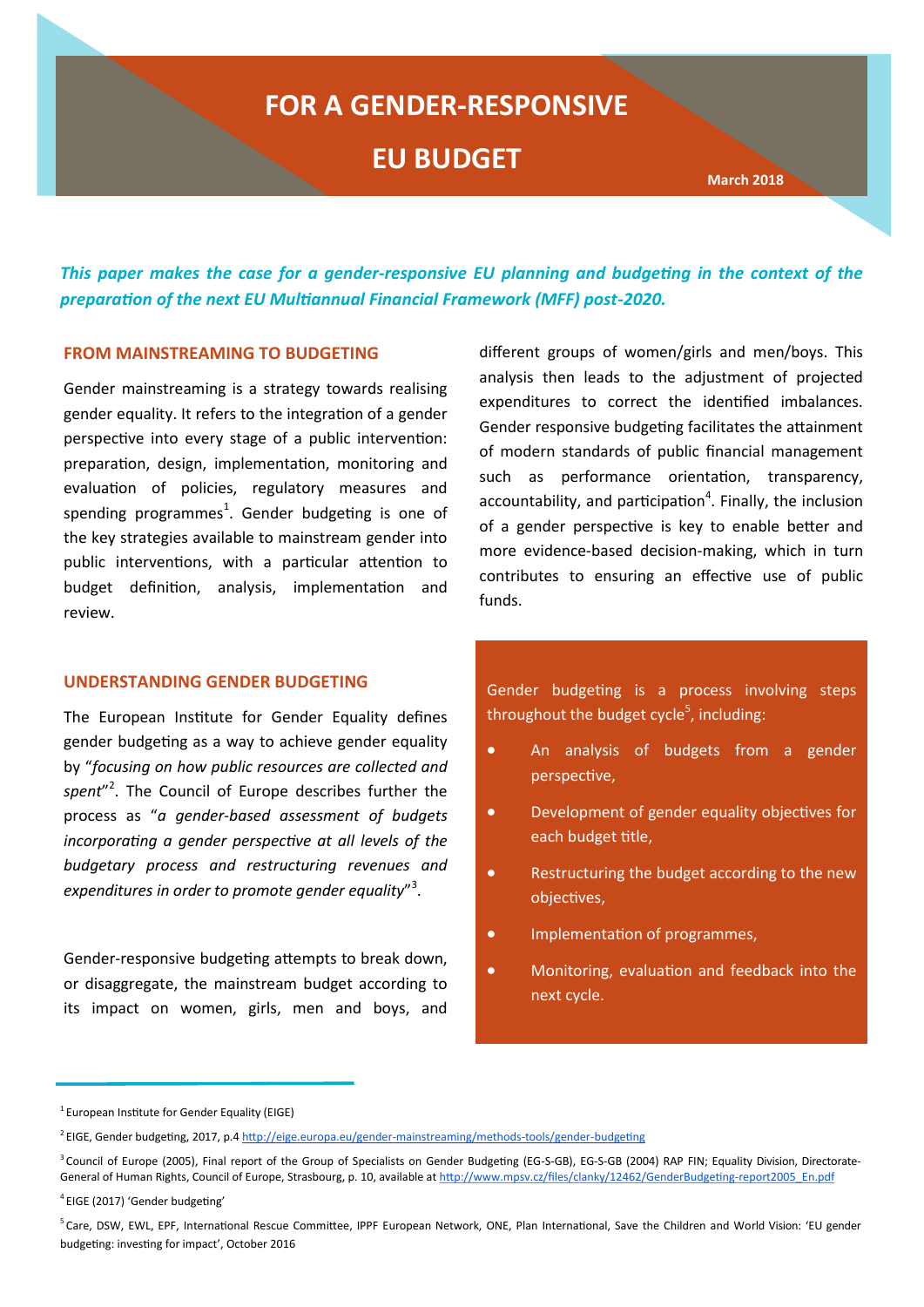# **FOR A GENDER-RESPONSIVE**

# **EU BUDGET**

 **March 2018 March 2018 March 2018** 

*This paper makes the case for a gender-responsive EU planning and budgeting in the context of the preparation of the next EU Multiannual Financial Framework (MFF) post-2020.*

#### **FROM MAINSTREAMING TO BUDGETING**

Gender mainstreaming is a strategy towards realising gender equality. It refers to the integration of a gender perspective into every stage of a public intervention: preparation, design, implementation, monitoring and evaluation of policies, regulatory measures and spending programmes $^1$ . Gender budgeting is one of the key strategies available to mainstream gender into public interventions, with a particular attention to budget definition, analysis, implementation and review.

#### **UNDERSTANDING GENDER BUDGETING**

The European Institute for Gender Equality defines gender budgeting as a way to achieve gender equality by "*focusing on how public resources are collected and spent*" 2 . The Council of Europe describes further the process as "*a gender-based assessment of budgets incorporating a gender perspective at all levels of the budgetary process and restructuring revenues and expenditures in order to promote gender equality*" 3 .

Gender-responsive budgeting attempts to break down, or disaggregate, the mainstream budget according to its impact on women, girls, men and boys, and

different groups of women/girls and men/boys. This analysis then leads to the adjustment of projected expenditures to correct the identified imbalances. Gender responsive budgeting facilitates the attainment of modern standards of public financial management such as performance orientation, transparency, accountability, and participation $4$ . Finally, the inclusion of a gender perspective is key to enable better and more evidence-based decision-making, which in turn contributes to ensuring an effective use of public funds.

Gender budgeting is a process involving steps throughout the budget cycle<sup>5</sup>, including:

- An analysis of budgets from a gender perspective,
- Development of gender equality objectives for each budget title,
- Restructuring the budget according to the new objectives,
- Implementation of programmes,
- Monitoring, evaluation and feedback into the next cycle.

 $1$  European Institute for Gender Equality (EIGE)

<sup>&</sup>lt;sup>2</sup> EIGE, Gender budgeting, 2017, p.4 [http://eige.europa.eu/gender](http://eige.europa.eu/gender-mainstreaming/methods-tools/gender-budgeting)-mainstreaming/methods-tools/gender-budgeting

<sup>&</sup>lt;sup>3</sup> Council of Europe (2005), Final report of the Group of Specialists on Gender Budgeting (EG-S-GB), EG-S-GB (2004) RAP FIN; Equality Division, DirectorateGeneral of Human Rights, Council of Europe, Strasbourg, p. 10, available a[t](http://www.mpsv.cz/files/clanky/12462/Gender%20Budgeting-report2005_En.pdf) [http://www.mpsv.cz/files/clanky/12462/GenderBudgeting](http://www.mpsv.cz/files/clanky/12462/GenderBudgeting-report2005_En.pdf)-report2005\_En.pdf

<sup>4</sup>EIGE (2017) 'Gender budgeting'

<sup>&</sup>lt;sup>5</sup>Care, DSW, EWL, EPF, International Rescue Committee, IPPF European Network, ONE, Plan International, Save the Children and World Vision: 'EU gender budgeting: investing for impact', October 2016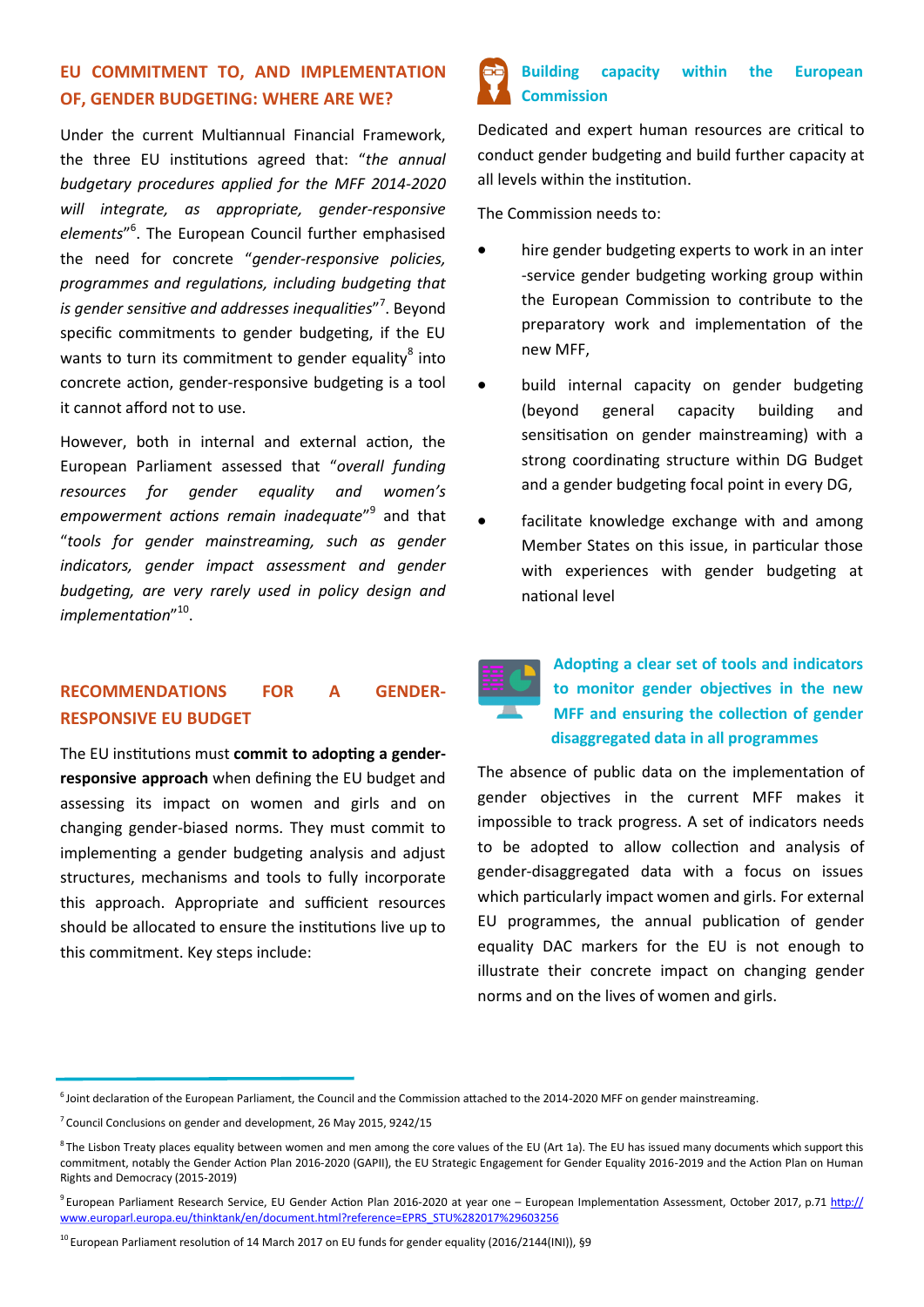#### **EU COMMITMENT TO, AND IMPLEMENTATION OF, GENDER BUDGETING: WHERE ARE WE?**

Under the current Multiannual Financial Framework, the three EU institutions agreed that: "*the annual budgetary procedures applied for the MFF 2014-2020 will integrate, as appropriate, gender-responsive*  elements"<sup>6</sup>. The European Council further emphasised the need for concrete "*gender-responsive policies, programmes and regulations, including budgeting that*  is gender sensitive and addresses inequalities"<sup>7</sup>. Beyond specific commitments to gender budgeting, if the EU wants to turn its commitment to gender equality $^8$  into concrete action, gender-responsive budgeting is a tool it cannot afford not to use.

However, both in internal and external action, the European Parliament assessed that "*overall funding resources for gender equality and women's empowerment actions remain inadequate*" 9 and that "*tools for gender mainstreaming, such as gender indicators, gender impact assessment and gender budgeting, are very rarely used in policy design and implementation*" 10 .

### **RECOMMENDATIONS FOR A GENDER-RESPONSIVE EU BUDGET**

The EU institutions must **commit to adopting a genderresponsive approach** when defining the EU budget and assessing its impact on women and girls and on changing gender-biased norms. They must commit to implementing a gender budgeting analysis and adjust structures, mechanisms and tools to fully incorporate this approach. Appropriate and sufficient resources should be allocated to ensure the institutions live up to this commitment. Key steps include:



Dedicated and expert human resources are critical to conduct gender budgeting and build further capacity at all levels within the institution.

The Commission needs to:

- hire gender budgeting experts to work in an inter -service gender budgeting working group within the European Commission to contribute to the preparatory work and implementation of the new MFF,
- build internal capacity on gender budgeting (beyond general capacity building and sensitisation on gender mainstreaming) with a strong coordinating structure within DG Budget and a gender budgeting focal point in every DG,
- facilitate knowledge exchange with and among Member States on this issue, in particular those with experiences with gender budgeting at national level



## **Adopting a clear set of tools and indicators to monitor gender objectives in the new MFF and ensuring the collection of gender disaggregated data in all programmes**

The absence of public data on the implementation of gender objectives in the current MFF makes it impossible to track progress. A set of indicators needs to be adopted to allow collection and analysis of gender-disaggregated data with a focus on issues which particularly impact women and girls. For external EU programmes, the annual publication of gender equality DAC markers for the EU is not enough to illustrate their concrete impact on changing gender norms and on the lives of women and girls.

 $6$ Joint declaration of the European Parliament, the Council and the Commission attached to the 2014-2020 MFF on gender mainstreaming.

 $7$  Council Conclusions on gender and development, 26 May 2015, 9242/15

 $8$ The Lisbon Treaty places equality between women and men among the core values of the EU (Art 1a). The EU has issued many documents which support this commitment, notably the Gender Action Plan 2016-2020 (GAPII), the EU Strategic Engagement for Gender Equality 2016-2019 and the Action Plan on Human Rights and Democracy (2015-2019)

 $9$ European Parliament Research Service, EU Gender Action Plan 2016-2020 at year one – European Implementation Assessment, October 2017, p.71 [http://](http://www.europarl.europa.eu/thinktank/en/document.html?reference=EPRS_STU%282017%29603256) [www.europarl.europa.eu/thinktank/en/document.html?reference=EPRS\\_STU%282017%29603256](http://www.europarl.europa.eu/thinktank/en/document.html?reference=EPRS_STU%282017%29603256)

 $^{10}$  European Parliament resolution of 14 March 2017 on EU funds for gender equality (2016/2144(INI)), §9